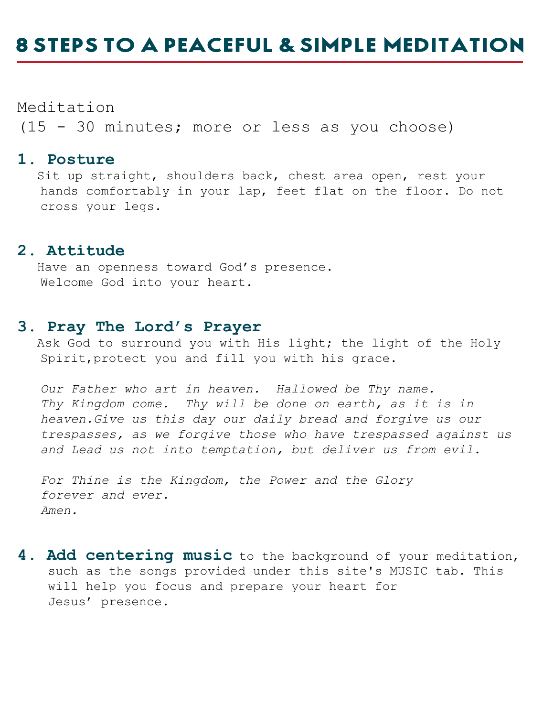# **8 STEPS TO A PEACEFUL & SIMPLE MEDITATION**

Meditation (15 - 30 minutes; more or less as you choose)

#### **1. Posture**

 Sit up straight, shoulders back, chest area open, rest your hands comfortably in your lap, feet flat on the floor. Do not cross your legs.

#### **2. Attitude**

 Have an openness toward God's presence. Welcome God into your heart.

### **3. Pray The Lord's Prayer**

Ask God to surround you with His light; the light of the Holy Spirit,protect you and fill you with his grace.

 *Our Father who art in heaven. Hallowed be Thy name. Thy Kingdom come. Thy will be done on earth, as it is in heaven.Give us this day our daily bread and forgive us our trespasses, as we forgive those who have trespassed against us and Lead us not into temptation, but deliver us from evil.* 

 *For Thine is the Kingdom, the Power and the Glory forever and ever. Amen.*

**4. Add centering music** to the background of your meditation, such as the songs provided under this site's MUSIC tab. This will help you focus and prepare your heart for Jesus' presence.